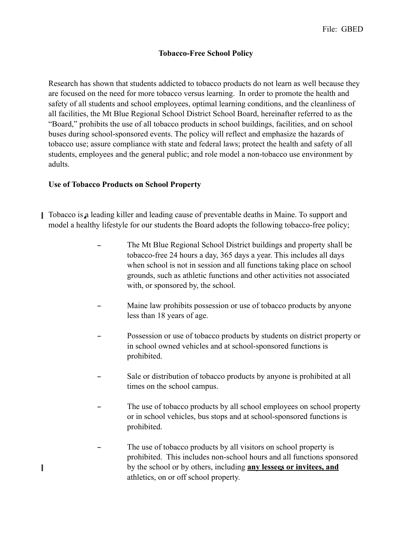## **Tobacco-Free School Policy**

Research has shown that students addicted to tobacco products do not learn as well because they are focused on the need for more tobacco versus learning. In order to promote the health and safety of all students and school employees, optimal learning conditions, and the cleanliness of all facilities, the Mt Blue Regional School District School Board, hereinafter referred to as the "Board," prohibits the use of all tobacco products in school buildings, facilities, and on school buses during school-sponsored events. The policy will reflect and emphasize the hazards of tobacco use; assure compliance with state and federal laws; protect the health and safety of all students, employees and the general public; and role model a non-tobacco use environment by adults.

## **Use of Tobacco Products on School Property**

Π

- $\blacksquare$  Tobacco is a leading killer and leading cause of preventable deaths in Maine. To support and model a healthy lifestyle for our students the Board adopts the following tobacco-free policy;
	- The Mt Blue Regional School District buildings and property shall be tobacco-free 24 hours a day, 365 days a year. This includes all days when school is not in session and all functions taking place on school grounds, such as athletic functions and other activities not associated with, or sponsored by, the school.
	- Maine law prohibits possession or use of tobacco products by anyone less than 18 years of age.
	- Possession or use of tobacco products by students on district property or in school owned vehicles and at school-sponsored functions is prohibited.
	- Sale or distribution of tobacco products by anyone is prohibited at all times on the school campus.
	- The use of tobacco products by all school employees on school property or in school vehicles, bus stops and at school-sponsored functions is prohibited.
	- The use of tobacco products by all visitors on school property is prohibited. This includes non-school hours and all functions sponsored by the school or by others, including **any lessees or invitees, and** athletics, on or off school property.